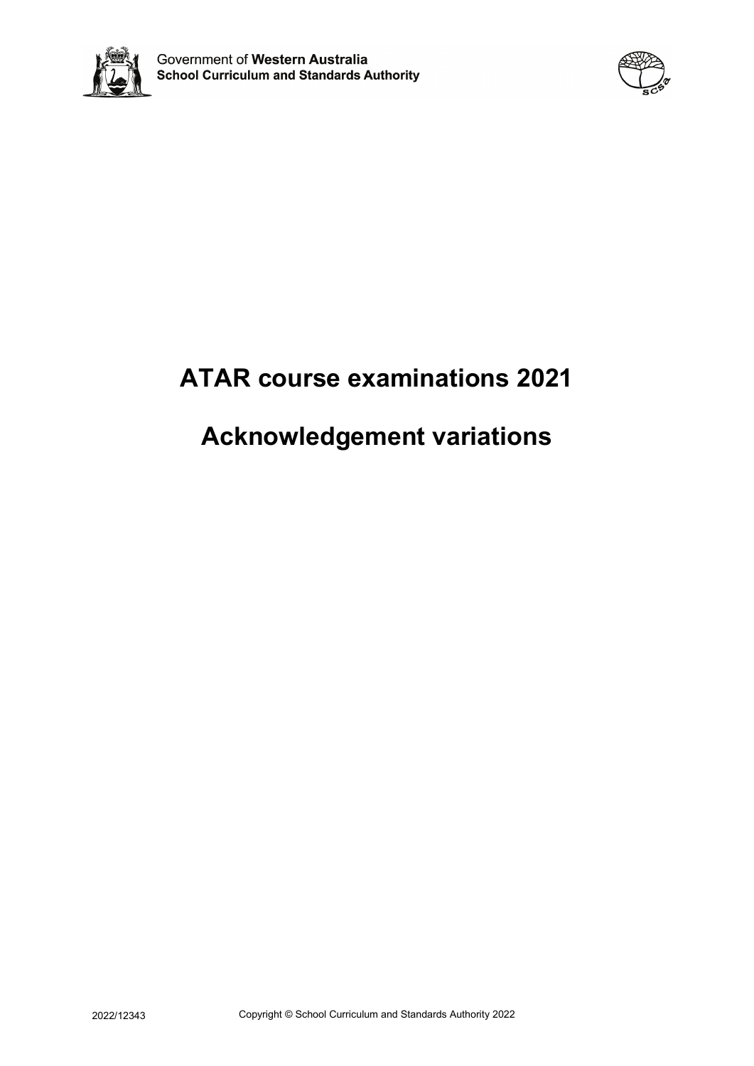



# **ATAR course examinations 2021**

# **Acknowledgement variations**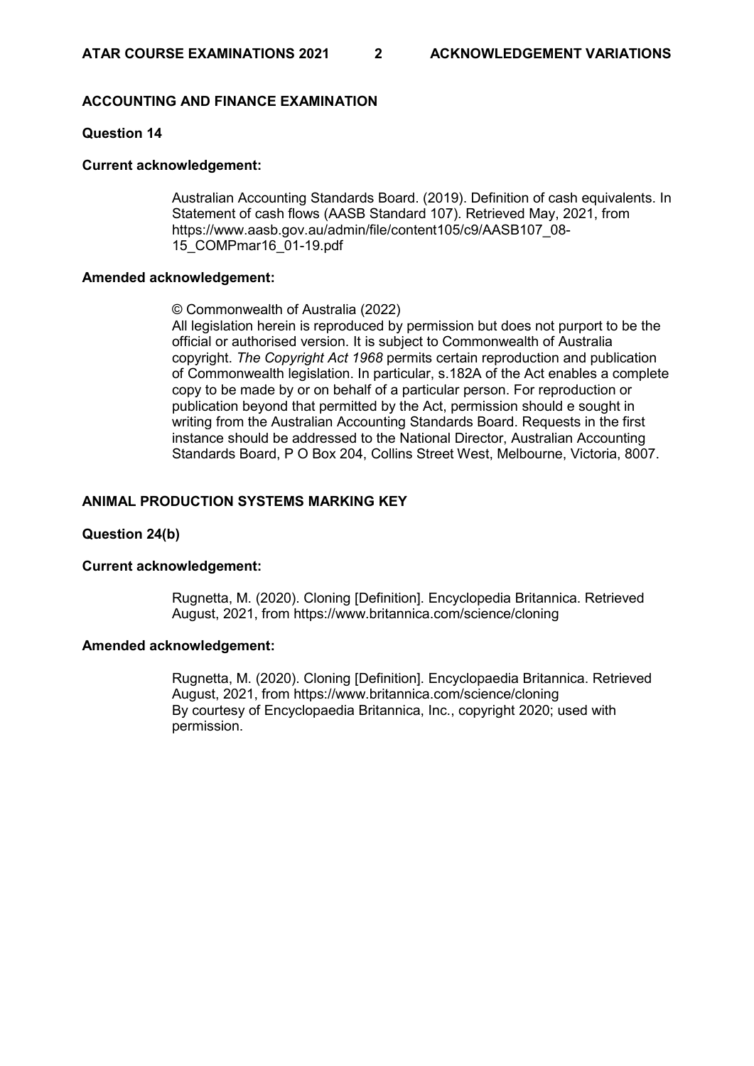# **ACCOUNTING AND FINANCE EXAMINATION**

# **Question 14**

### **Current acknowledgement:**

Australian Accounting Standards Board. (2019). Definition of cash equivalents. In Statement of cash flows (AASB Standard 107). Retrieved May, 2021, from https://www.aasb.gov.au/admin/file/content105/c9/AASB107\_08- 15\_COMPmar16\_01-19.pdf

### **Amended acknowledgement:**

© Commonwealth of Australia (2022)

All legislation herein is reproduced by permission but does not purport to be the official or authorised version. It is subject to Commonwealth of Australia copyright. *The Copyright Act 1968* permits certain reproduction and publication of Commonwealth legislation. In particular, s.182A of the Act enables a complete copy to be made by or on behalf of a particular person. For reproduction or publication beyond that permitted by the Act, permission should e sought in writing from the Australian Accounting Standards Board. Requests in the first instance should be addressed to the National Director, Australian Accounting Standards Board, P O Box 204, Collins Street West, Melbourne, Victoria, 8007.

### **ANIMAL PRODUCTION SYSTEMS MARKING KEY**

# **Question 24(b)**

### **Current acknowledgement:**

Rugnetta, M. (2020). Cloning [Definition]. Encyclopedia Britannica. Retrieved August, 2021, from https://www.britannica.com/science/cloning

### **Amended acknowledgement:**

Rugnetta, M. (2020). Cloning [Definition]. Encyclopaedia Britannica. Retrieved August, 2021, from<https://www.britannica.com/science/cloning> By courtesy of Encyclopaedia Britannica, Inc., copyright 2020; used with permission.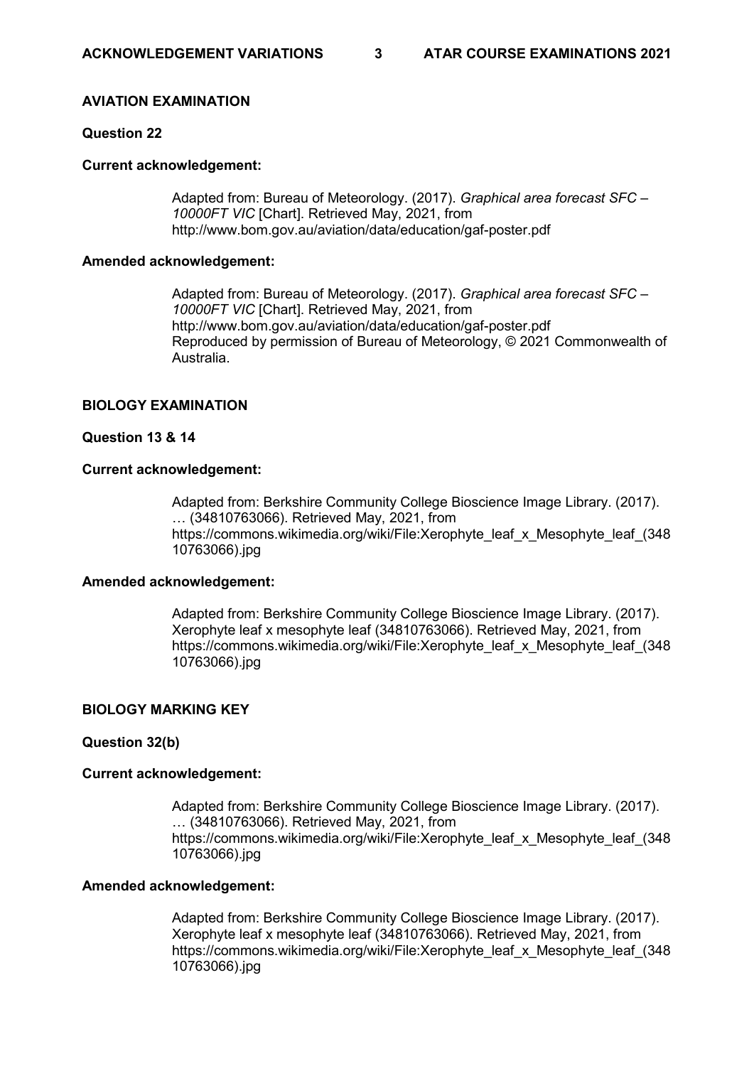# **AVIATION EXAMINATION**

# **Question 22**

### **Current acknowledgement:**

Adapted from: Bureau of Meteorology. (2017). *Graphical area forecast SFC – 10000FT VIC* [Chart]. Retrieved May, 2021, from http://www.bom.gov.au/aviation/data/education/gaf-poster.pdf

### **Amended acknowledgement:**

Adapted from: Bureau of Meteorology. (2017). *Graphical area forecast SFC – 10000FT VIC* [Chart]. Retrieved May, 2021, from http://www.bom.gov.au/aviation/data/education/gaf-poster.pdf Reproduced by permission of Bureau of Meteorology, © 2021 Commonwealth of Australia.

### **BIOLOGY EXAMINATION**

### **Question 13 & 14**

### **Current acknowledgement:**

Adapted from: Berkshire Community College Bioscience Image Library. (2017). … (34810763066). Retrieved May, 2021, from https://commons.wikimedia.org/wiki/File:Xerophyte\_leaf\_x\_Mesophyte\_leaf\_(348) 10763066).jpg

### **Amended acknowledgement:**

Adapted from: Berkshire Community College Bioscience Image Library. (2017). Xerophyte leaf x mesophyte leaf (34810763066). Retrieved May, 2021, from https://commons.wikimedia.org/wiki/File:Xerophyte\_leaf\_x\_Mesophyte\_leaf\_(348 10763066).jpg

# **BIOLOGY MARKING KEY**

### **Question 32(b)**

### **Current acknowledgement:**

Adapted from: Berkshire Community College Bioscience Image Library. (2017). … (34810763066). Retrieved May, 2021, from https://commons.wikimedia.org/wiki/File:Xerophyte\_leaf\_x\_Mesophyte\_leaf\_(348) 10763066).jpg

### **Amended acknowledgement:**

Adapted from: Berkshire Community College Bioscience Image Library. (2017). Xerophyte leaf x mesophyte leaf (34810763066). Retrieved May, 2021, from https://commons.wikimedia.org/wiki/File:Xerophyte\_leaf\_x\_Mesophyte\_leaf\_(348 10763066).jpg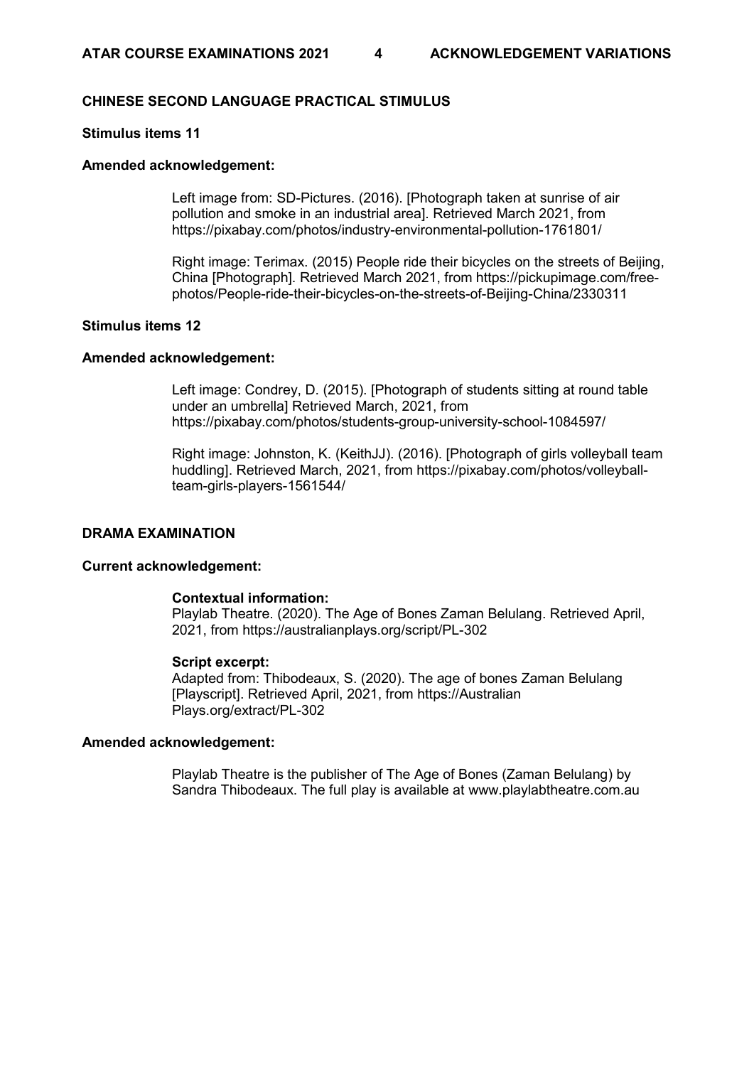# **CHINESE SECOND LANGUAGE PRACTICAL STIMULUS**

# **Stimulus items 11**

### **Amended acknowledgement:**

Left image from: SD-Pictures. (2016). [Photograph taken at sunrise of air pollution and smoke in an industrial area]. Retrieved March 2021, from https://pixabay.com/photos/industry-environmental-pollution-1761801/

Right image: Terimax. (2015) People ride their bicycles on the streets of Beijing, China [Photograph]. Retrieved March 2021, from https://pickupimage.com/freephotos/People-ride-their-bicycles-on-the-streets-of-Beijing-China/2330311

# **Stimulus items 12**

### **Amended acknowledgement:**

Left image: Condrey, D. (2015). [Photograph of students sitting at round table under an umbrella] Retrieved March, 2021, from https://pixabay.com/photos/students-group-university-school-1084597/

Right image: Johnston, K. (KeithJJ). (2016). [Photograph of girls volleyball team huddling]. Retrieved March, 2021, from https://pixabay.com/photos/volleyballteam-girls-players-1561544/

# **DRAMA EXAMINATION**

#### **Current acknowledgement:**

### **Contextual information:**

Playlab Theatre. (2020). The Age of Bones Zaman Belulang. Retrieved April, 2021, from https://australianplays.org/script/PL-302

### **Script excerpt:**

Adapted from: Thibodeaux, S. (2020). The age of bones Zaman Belulang [Playscript]. Retrieved April, 2021, from https://Australian Plays.org/extract/PL-302

### **Amended acknowledgement:**

Playlab Theatre is the publisher of The Age of Bones (Zaman Belulang) by Sandra Thibodeaux. The full play is available at www.playlabtheatre.com.au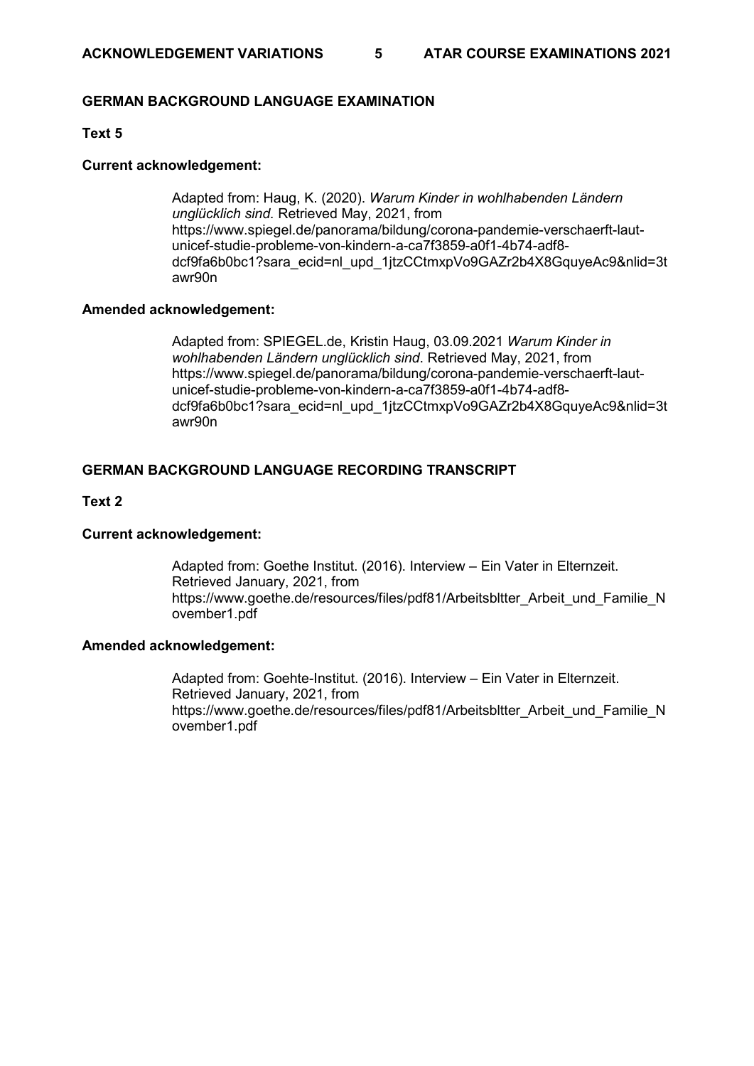# **GERMAN BACKGROUND LANGUAGE EXAMINATION**

# **Text 5**

### **Current acknowledgement:**

Adapted from: Haug, K. (2020). *Warum Kinder in wohlhabenden Ländern unglücklich sind.* Retrieved May, 2021, from https://www.spiegel.de/panorama/bildung/corona-pandemie-verschaerft-lautunicef-studie-probleme-von-kindern-a-ca7f3859-a0f1-4b74-adf8 dcf9fa6b0bc1?sara\_ecid=nl\_upd\_1jtzCCtmxpVo9GAZr2b4X8GquyeAc9&nlid=3t awr90n

### **Amended acknowledgement:**

Adapted from: SPIEGEL.de, Kristin Haug, 03.09.2021 *Warum Kinder in wohlhabenden Ländern unglücklich sind*. Retrieved May, 2021, from [https://www.spiegel.de/panorama/bildung/corona-pandemie-verschaerft-laut](https://www.spiegel.de/panorama/bildung/corona-pandemie-verschaerft-laut-unicef-studie-probleme-von-kindern-a-ca7f3859-a0f1-4b74-adf8-dcf9fa6b0bc1?sara_ecid=nl_upd_1jtzCCtmxpVo9GAZr2b4X8GquyeAc9&nlid=3tawr90n)[unicef-studie-probleme-von-kindern-a-ca7f3859-a0f1-4b74-adf8](https://www.spiegel.de/panorama/bildung/corona-pandemie-verschaerft-laut-unicef-studie-probleme-von-kindern-a-ca7f3859-a0f1-4b74-adf8-dcf9fa6b0bc1?sara_ecid=nl_upd_1jtzCCtmxpVo9GAZr2b4X8GquyeAc9&nlid=3tawr90n) [dcf9fa6b0bc1?sara\\_ecid=nl\\_upd\\_1jtzCCtmxpVo9GAZr2b4X8GquyeAc9&nlid=3t](https://www.spiegel.de/panorama/bildung/corona-pandemie-verschaerft-laut-unicef-studie-probleme-von-kindern-a-ca7f3859-a0f1-4b74-adf8-dcf9fa6b0bc1?sara_ecid=nl_upd_1jtzCCtmxpVo9GAZr2b4X8GquyeAc9&nlid=3tawr90n) [awr90n](https://www.spiegel.de/panorama/bildung/corona-pandemie-verschaerft-laut-unicef-studie-probleme-von-kindern-a-ca7f3859-a0f1-4b74-adf8-dcf9fa6b0bc1?sara_ecid=nl_upd_1jtzCCtmxpVo9GAZr2b4X8GquyeAc9&nlid=3tawr90n)

# **GERMAN BACKGROUND LANGUAGE RECORDING TRANSCRIPT**

### **Text 2**

# **Current acknowledgement:**

Adapted from: Goethe Institut. (2016). Interview – Ein Vater in Elternzeit. Retrieved January, 2021, from https://www.goethe.de/resources/files/pdf81/Arbeitsbltter\_Arbeit\_und\_Familie\_N ovember1.pdf

# **Amended acknowledgement:**

Adapted from: Goehte-Institut. (2016). Interview – Ein Vater in Elternzeit. Retrieved January, 2021, from [https://www.goethe.de/resources/files/pdf81/Arbeitsbltter\\_Arbeit\\_und\\_Familie\\_N](https://www.goethe.de/resources/files/pdf81/Arbeitsbltter_Arbeit_und_Familie_November1.pdf) [ovember1.pdf](https://www.goethe.de/resources/files/pdf81/Arbeitsbltter_Arbeit_und_Familie_November1.pdf)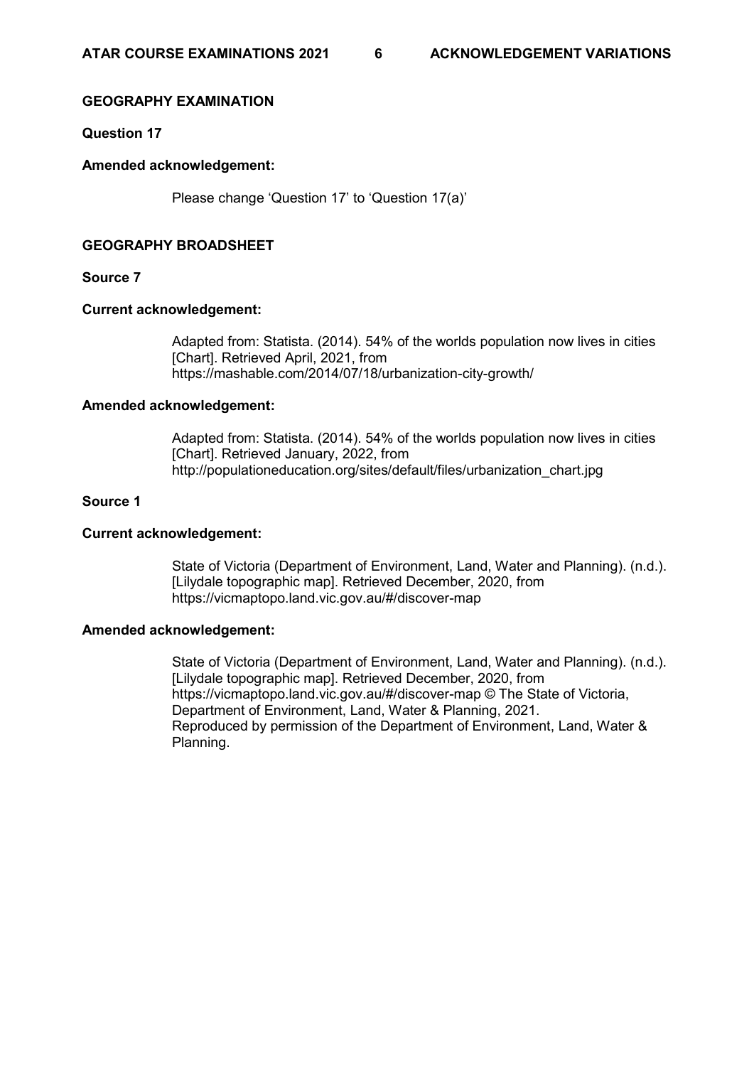# **GEOGRAPHY EXAMINATION**

**Question 17**

### **Amended acknowledgement:**

Please change 'Question 17' to 'Question 17(a)'

# **GEOGRAPHY BROADSHEET**

### **Source 7**

### **Current acknowledgement:**

Adapted from: Statista. (2014). 54% of the worlds population now lives in cities [Chart]. Retrieved April, 2021, from https://mashable.com/2014/07/18/urbanization-city-growth/

### **Amended acknowledgement:**

Adapted from: Statista. (2014). 54% of the worlds population now lives in cities [Chart]. Retrieved January, 2022, from http://populationeducation.org/sites/default/files/urbanization\_chart.jpg

### **Source 1**

### **Current acknowledgement:**

State of Victoria (Department of Environment, Land, Water and Planning). (n.d.). [Lilydale topographic map]. Retrieved December, 2020, from https://vicmaptopo.land.vic.gov.au/#/discover-map

# **Amended acknowledgement:**

State of Victoria (Department of Environment, Land, Water and Planning). (n.d.). [Lilydale topographic map]. Retrieved December, 2020, from https://vicmaptopo.land.vic.gov.au/#/discover-map © The State of Victoria, Department of Environment, Land, Water & Planning, 2021. Reproduced by permission of the Department of Environment, Land, Water & Planning.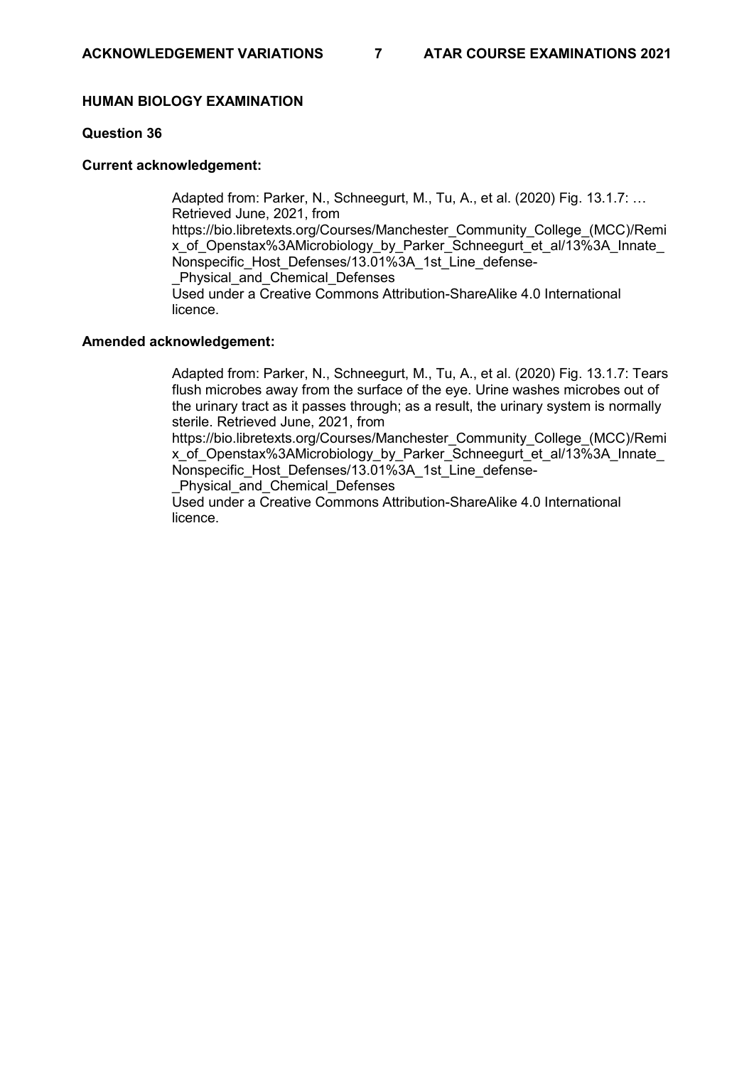# **HUMAN BIOLOGY EXAMINATION**

# **Question 36**

### **Current acknowledgement:**

Adapted from: Parker, N., Schneegurt, M., Tu, A., et al. (2020) Fig. 13.1.7: … Retrieved June, 2021, from [https://bio.libretexts.org/Courses/Manchester\\_Community\\_College\\_\(MCC\)/Remi](https://bio.libretexts.org/Courses/Manchester_Community_College_(MCC)/Remix_of_Openstax%3AMicrobiology_by_Parker_Schneegurt_et_al/13%3A_Innate_Nonspecific_Host_Defenses/13.01%3A_1st_Line_defense-_Physical_and_Chemical_Defenses) x\_of\_Openstax%3AMicrobiology\_by\_Parker\_Schneegurt\_et\_al/13%3A\_Innate Nonspecific Host Defenses/13.01%3A\_1st\_Line\_defense-Physical and Chemical Defenses Used under a Creative Commons Attribution-ShareAlike 4.0 International licence.

### **Amended acknowledgement:**

Adapted from: Parker, N., Schneegurt, M., Tu, A., et al. (2020) Fig. 13.1.7: Tears flush microbes away from the surface of the eye. Urine washes microbes out of the urinary tract as it passes through; as a result, the urinary system is normally sterile. Retrieved June, 2021, from

[https://bio.libretexts.org/Courses/Manchester\\_Community\\_College\\_\(MCC\)/Remi](https://bio.libretexts.org/Courses/Manchester_Community_College_(MCC)/Remix_of_Openstax%3AMicrobiology_by_Parker_Schneegurt_et_al/13%3A_Innate_Nonspecific_Host_Defenses/13.01%3A_1st_Line_defense-_Physical_and_Chemical_Defenses) x\_of\_Openstax%3AMicrobiology\_by\_Parker\_Schneegurt\_et\_al/13%3A\_Innate Nonspecific Host Defenses/13.01%3A\_1st\_Line\_defense-

Physical and Chemical Defenses

Used under a Creative Commons Attribution-ShareAlike 4.0 International licence.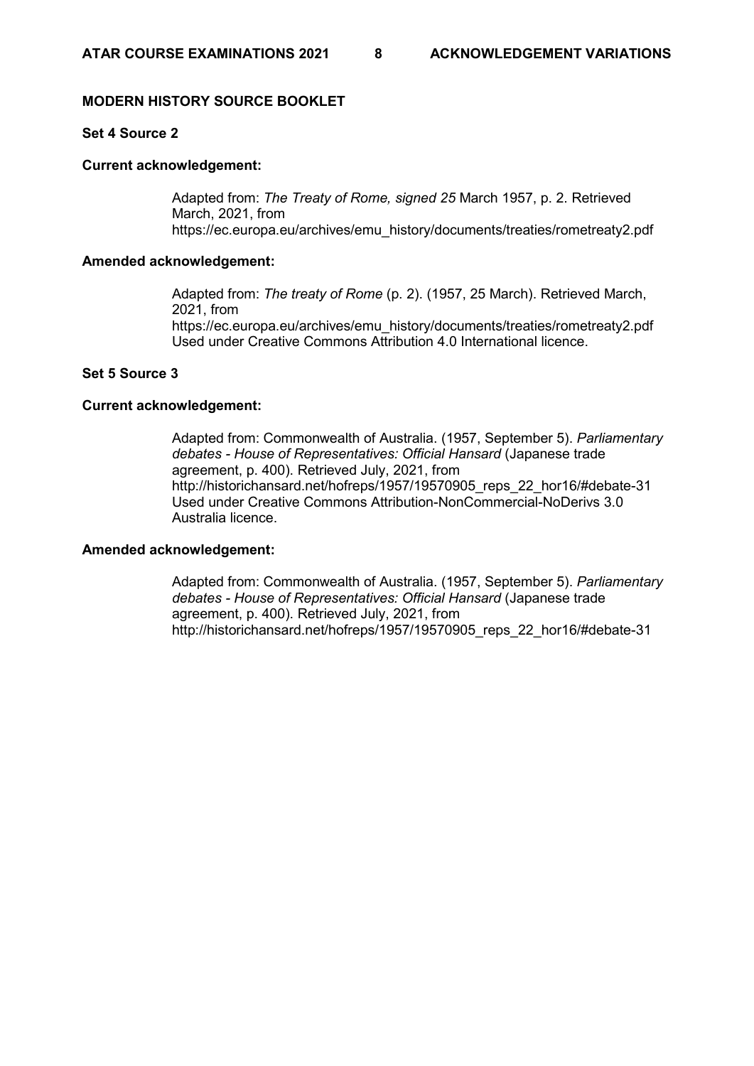# **MODERN HISTORY SOURCE BOOKLET**

# **Set 4 Source 2**

### **Current acknowledgement:**

Adapted from: *The Treaty of Rome, signed 25* March 1957, p. 2. Retrieved March, 2021, from [https://ec.europa.eu/archives/emu\\_history/documents/treaties/rometreaty2.pdf](https://ec.europa.eu/archives/emu_history/documents/treaties/rometreaty2.pdf)

### **Amended acknowledgement:**

Adapted from: *The treaty of Rome* (p. 2). (1957, 25 March). Retrieved March, 2021, from [https://ec.europa.eu/archives/emu\\_history/documents/treaties/rometreaty2.pdf](https://ec.europa.eu/archives/emu_history/documents/treaties/rometreaty2.pdf) Used under [Creative Commons Attribution 4.0 International licence.](https://creativecommons.org/licenses/by/4.0/)

# **Set 5 Source 3**

### **Current acknowledgement:**

Adapted from: Commonwealth of Australia. (1957, September 5). *Parliamentary debates - House of Representatives: Official Hansard* (Japanese trade agreement, p. 400). Retrieved July, 2021, from http://historichansard.net/hofreps/1957/19570905\_reps\_22\_hor16/#debate-31 Used under Creative Commons Attribution-NonCommercial-NoDerivs 3.0 Australia licence.

# **Amended acknowledgement:**

Adapted from: Commonwealth of Australia. (1957, September 5). *Parliamentary debates - House of Representatives: Official Hansard* (Japanese trade agreement, p. 400). Retrieved July, 2021, from [http://historichansard.net/hofreps/1957/19570905\\_reps\\_22\\_hor16/#debate-31](http://historichansard.net/hofreps/1957/19570905_reps_22_hor16/#debate-31)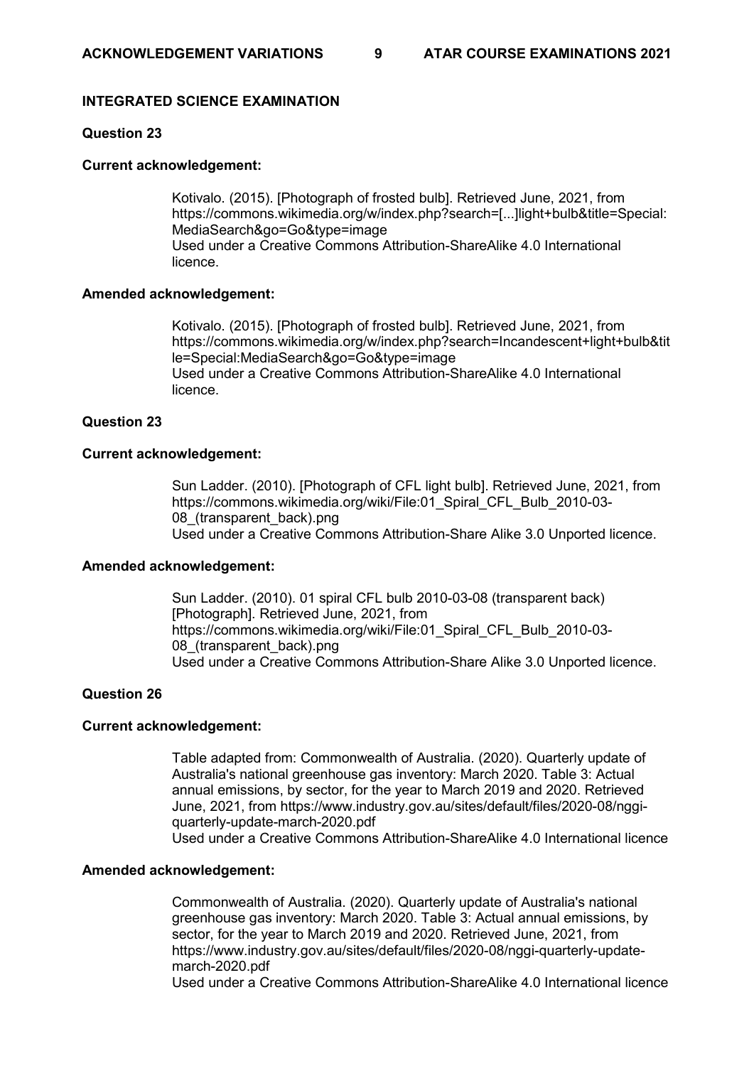# **INTEGRATED SCIENCE EXAMINATION**

# **Question 23**

# **Current acknowledgement:**

Kotivalo. (2015). [Photograph of frosted bulb]. Retrieved June, 2021, from https://commons.wikimedia.org/w/index.php?search=[...]light+bulb&title=Special: MediaSearch&go=Go&type=image Used under a Creative Commons Attribution-ShareAlike 4.0 International licence.

# **Amended acknowledgement:**

Kotivalo. (2015). [Photograph of frosted bulb]. Retrieved June, 2021, from https://commons.wikimedia.org/w/index.php?search=Incandescent+light+bulb&tit le=Special:MediaSearch&go=Go&type=image Used under a Creative Commons Attribution-ShareAlike 4.0 International licence.

# **Question 23**

### **Current acknowledgement:**

Sun Ladder. (2010). [Photograph of CFL light bulb]. Retrieved June, 2021, from https://commons.wikimedia.org/wiki/File:01\_Spiral\_CFL\_Bulb\_2010-03-08 (transparent\_back).png Used under a Creative Commons Attribution-Share Alike 3.0 Unported licence.

### **Amended acknowledgement:**

Sun Ladder. (2010). 01 spiral CFL bulb 2010-03-08 (transparent back) [Photograph]. Retrieved June, 2021, from https://commons.wikimedia.org/wiki/File:01\_Spiral\_CFL\_Bulb\_2010-03- 08 (transparent\_back).png Used under a Creative Commons Attribution-Share Alike 3.0 Unported licence.

### **Question 26**

# **Current acknowledgement:**

Table adapted from: Commonwealth of Australia. (2020). Quarterly update of Australia's national greenhouse gas inventory: March 2020. Table 3: Actual annual emissions, by sector, for the year to March 2019 and 2020. Retrieved June, 2021, from https://www.industry.gov.au/sites/default/files/2020-08/nggiquarterly-update-march-2020.pdf Used under a Creative Commons Attribution-ShareAlike 4.0 International licence

### **Amended acknowledgement:**

Commonwealth of Australia. (2020). Quarterly update of Australia's national greenhouse gas inventory: March 2020. Table 3: Actual annual emissions, by sector, for the year to March 2019 and 2020. Retrieved June, 2021, from https://www.industry.gov.au/sites/default/files/2020-08/nggi-quarterly-updatemarch-2020.pdf

Used under a Creative Commons Attribution-ShareAlike 4.0 International licence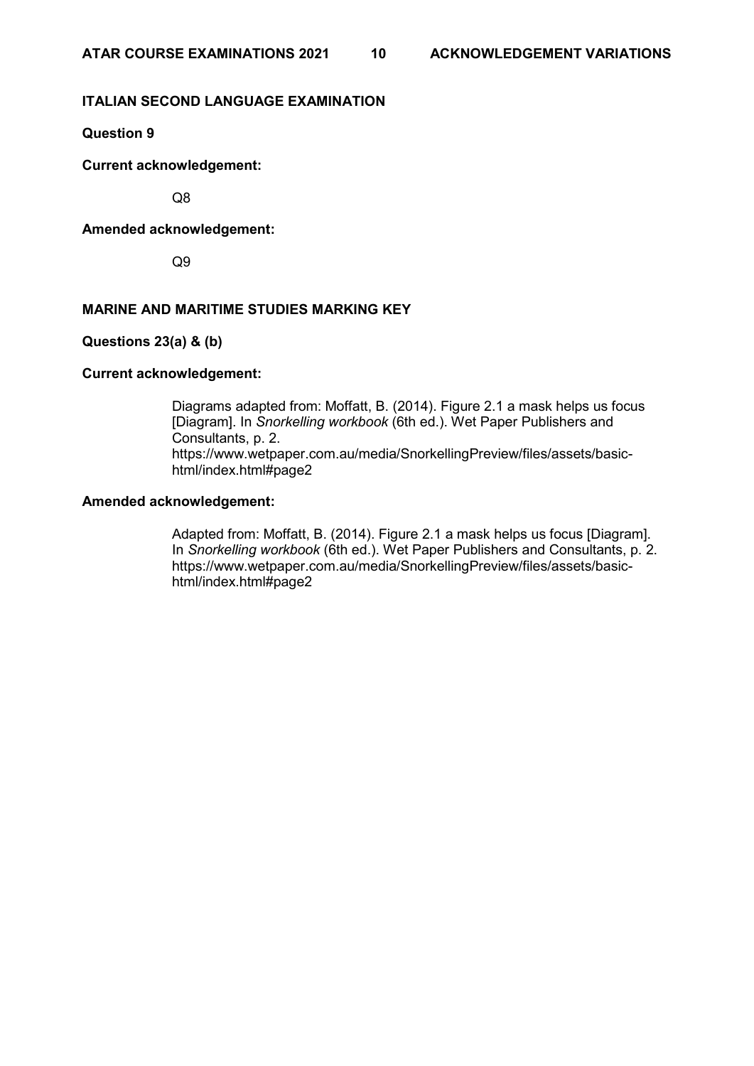# **ITALIAN SECOND LANGUAGE EXAMINATION**

# **Question 9**

**Current acknowledgement:**

Q8

# **Amended acknowledgement:**

Q9

# **MARINE AND MARITIME STUDIES MARKING KEY**

# **Questions 23(a) & (b)**

### **Current acknowledgement:**

Diagrams adapted from: Moffatt, B. (2014). Figure 2.1 a mask helps us focus [Diagram]. In *Snorkelling workbook* (6th ed.). Wet Paper Publishers and Consultants, p. 2. https://www.wetpaper.com.au/media/SnorkellingPreview/files/assets/basichtml/index.html#page2

### **Amended acknowledgement:**

Adapted from: Moffatt, B. (2014). Figure 2.1 a mask helps us focus [Diagram]. In *Snorkelling workbook* (6th ed.). Wet Paper Publishers and Consultants, p. 2. https://www.wetpaper.com.au/media/SnorkellingPreview/files/assets/basichtml/index.html#page2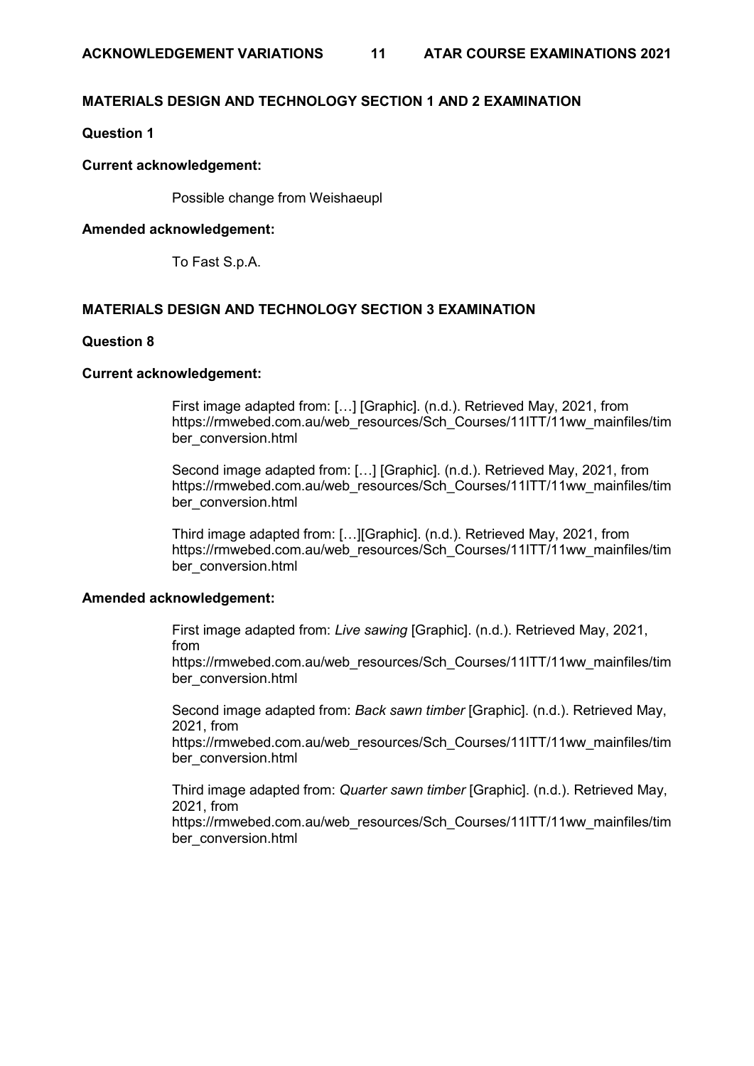# **MATERIALS DESIGN AND TECHNOLOGY SECTION 1 AND 2 EXAMINATION**

# **Question 1**

### **Current acknowledgement:**

Possible change from Weishaeupl

### **Amended acknowledgement:**

To Fast S.p.A.

### **MATERIALS DESIGN AND TECHNOLOGY SECTION 3 EXAMINATION**

#### **Question 8**

### **Current acknowledgement:**

First image adapted from: […] [Graphic]. (n.d.). Retrieved May, 2021, from https://rmwebed.com.au/web\_resources/Sch\_Courses/11ITT/11ww\_mainfiles/tim ber\_conversion.html

Second image adapted from: […] [Graphic]. (n.d.). Retrieved May, 2021, from https://rmwebed.com.au/web\_resources/Sch\_Courses/11ITT/11ww\_mainfiles/tim ber\_conversion.html

Third image adapted from: […][Graphic]. (n.d.). Retrieved May, 2021, from https://rmwebed.com.au/web\_resources/Sch\_Courses/11ITT/11ww\_mainfiles/tim ber\_conversion.html

### **Amended acknowledgement:**

First image adapted from: *Live sawing* [Graphic]. (n.d.). Retrieved May, 2021, from

https://rmwebed.com.au/web\_resources/Sch\_Courses/11ITT/11ww\_mainfiles/tim ber\_conversion.html

Second image adapted from: *Back sawn timber* [Graphic]. (n.d.). Retrieved May, 2021, from

https://rmwebed.com.au/web\_resources/Sch\_Courses/11ITT/11ww\_mainfiles/tim ber\_conversion.html

Third image adapted from: *Quarter sawn timber* [Graphic]. (n.d.). Retrieved May, 2021, from

https://rmwebed.com.au/web\_resources/Sch\_Courses/11ITT/11ww\_mainfiles/tim ber\_conversion.html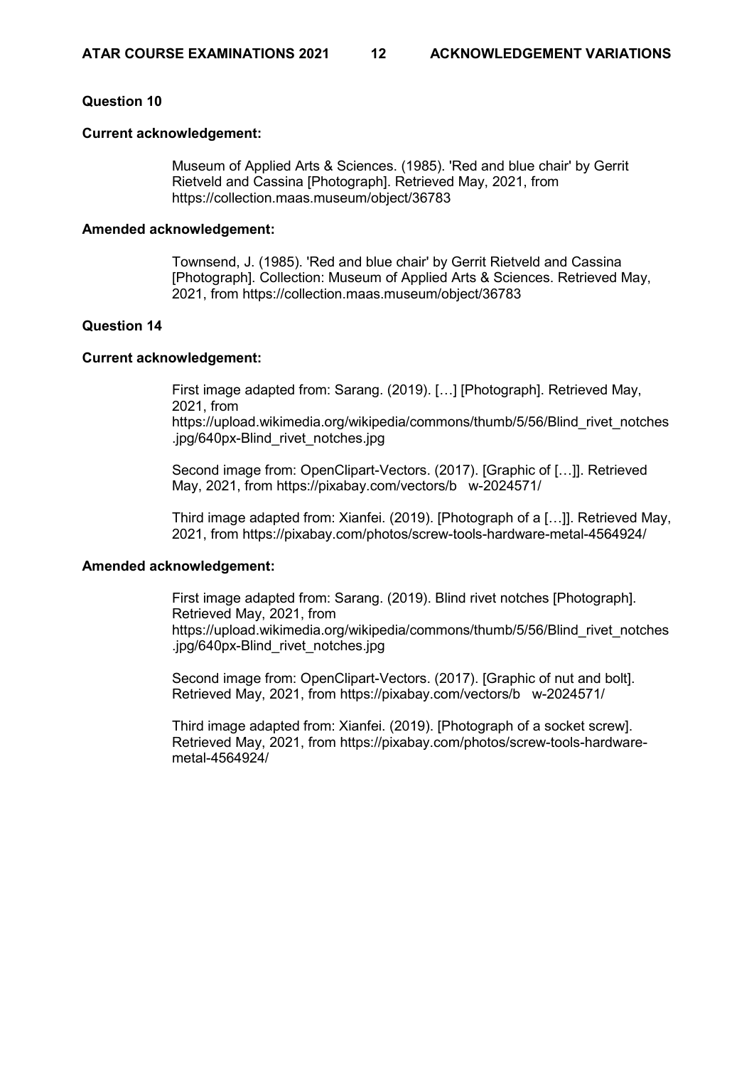### **Question 10**

### **Current acknowledgement:**

Museum of Applied Arts & Sciences. (1985). 'Red and blue chair' by Gerrit Rietveld and Cassina [Photograph]. Retrieved May, 2021, from https://collection.maas.museum/object/36783

### **Amended acknowledgement:**

Townsend, J. (1985). 'Red and blue chair' by Gerrit Rietveld and Cassina [Photograph]. Collection: Museum of Applied Arts & Sciences. Retrieved May, 2021, from https://collection.maas.museum/object/36783

# **Question 14**

### **Current acknowledgement:**

First image adapted from: Sarang. (2019). […] [Photograph]. Retrieved May, 2021, from [https://upload.wikimedia.org/wikipedia/commons/thumb/5/56/Blind\\_rivet\\_notches](https://upload.wikimedia.org/wikipedia/commons/thumb/5/56/Blind_rivet_notches.jpg/640px-Blind_rivet_notches.jpg) [.jpg/640px-Blind\\_rivet\\_notches.jpg](https://upload.wikimedia.org/wikipedia/commons/thumb/5/56/Blind_rivet_notches.jpg/640px-Blind_rivet_notches.jpg)

Second image from: OpenClipart-Vectors. (2017). [Graphic of […]]. Retrieved May, 2021, from https://pixabay.com/vectors/b w-2024571/

Third image adapted from: Xianfei. (2019). [Photograph of a […]]. Retrieved May, 2021, from https://pixabay.com/photos/screw-tools-hardware-metal-4564924/

### **Amended acknowledgement:**

First image adapted from: Sarang. (2019). Blind rivet notches [Photograph]. Retrieved May, 2021, from [https://upload.wikimedia.org/wikipedia/commons/thumb/5/56/Blind\\_rivet\\_notches](https://upload.wikimedia.org/wikipedia/commons/thumb/5/56/Blind_rivet_notches.jpg/640px-Blind_rivet_notches.jpg) [.jpg/640px-Blind\\_rivet\\_notches.jpg](https://upload.wikimedia.org/wikipedia/commons/thumb/5/56/Blind_rivet_notches.jpg/640px-Blind_rivet_notches.jpg)

Second image from: OpenClipart-Vectors. (2017). [Graphic of nut and bolt]. Retrieved May, 2021, from https://pixabay.com/vectors/b w-2024571/

Third image adapted from: Xianfei. (2019). [Photograph of a socket screw]. Retrieved May, 2021, from https://pixabay.com/photos/screw-tools-hardwaremetal-4564924/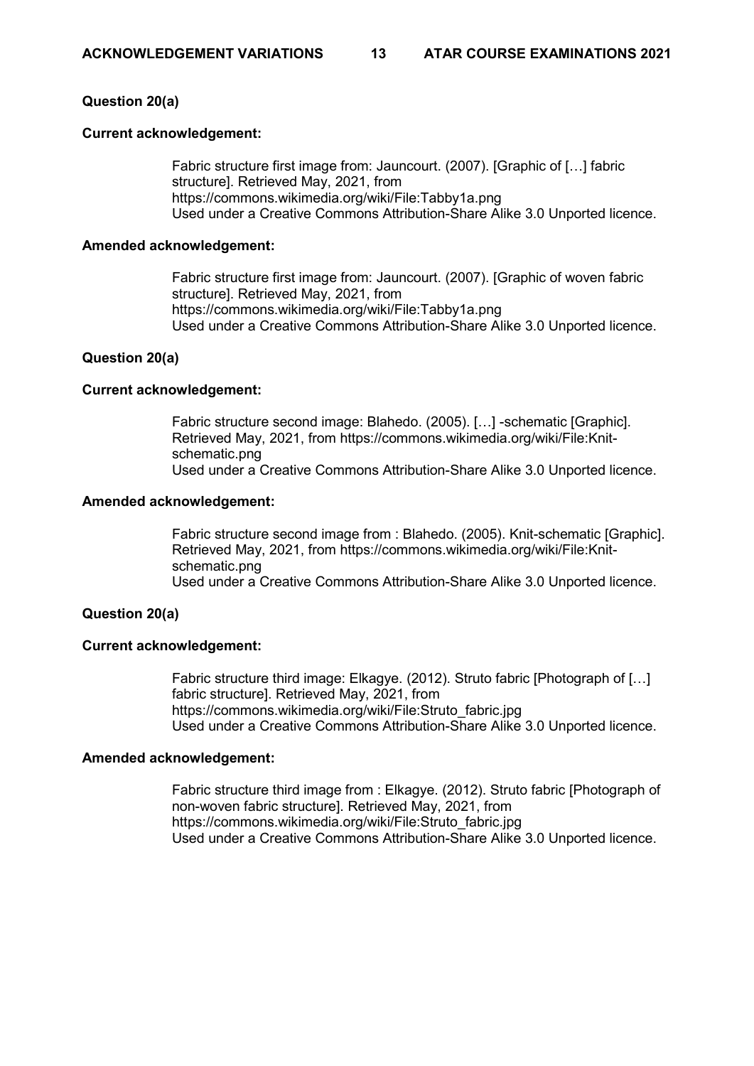# **Question 20(a)**

### **Current acknowledgement:**

Fabric structure first image from: Jauncourt. (2007). [Graphic of […] fabric structure]. Retrieved May, 2021, from https://commons.wikimedia.org/wiki/File:Tabby1a.png Used under a Creative Commons Attribution-Share Alike 3.0 Unported licence.

### **Amended acknowledgement:**

Fabric structure first image from: Jauncourt. (2007). [Graphic of woven fabric structure]. Retrieved May, 2021, from https://commons.wikimedia.org/wiki/File:Tabby1a.png Used under a Creative Commons Attribution-Share Alike 3.0 Unported licence.

### **Question 20(a)**

### **Current acknowledgement:**

Fabric structure second image: Blahedo. (2005). […] -schematic [Graphic]. Retrieved May, 2021, from https://commons.wikimedia.org/wiki/File:Knitschematic.png Used under a Creative Commons Attribution-Share Alike 3.0 Unported licence.

### **Amended acknowledgement:**

Fabric structure second image from : Blahedo. (2005). Knit-schematic [Graphic]. Retrieved May, 2021, from https://commons.wikimedia.org/wiki/File:Knitschematic.png Used under a Creative Commons Attribution-Share Alike 3.0 Unported licence.

### **Question 20(a)**

### **Current acknowledgement:**

Fabric structure third image: Elkagye. (2012). Struto fabric [Photograph of […] fabric structure]. Retrieved May, 2021, from https://commons.wikimedia.org/wiki/File:Struto\_fabric.jpg Used under a Creative Commons Attribution-Share Alike 3.0 Unported licence.

### **Amended acknowledgement:**

Fabric structure third image from : Elkagye. (2012). Struto fabric [Photograph of non-woven fabric structure]. Retrieved May, 2021, from https://commons.wikimedia.org/wiki/File:Struto\_fabric.jpg Used under a Creative Commons Attribution-Share Alike 3.0 Unported licence.